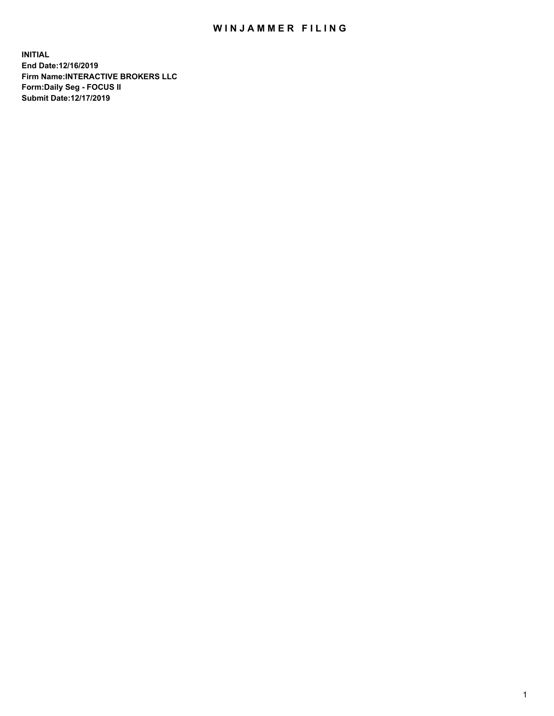## WIN JAMMER FILING

**INITIAL End Date:12/16/2019 Firm Name:INTERACTIVE BROKERS LLC Form:Daily Seg - FOCUS II Submit Date:12/17/2019**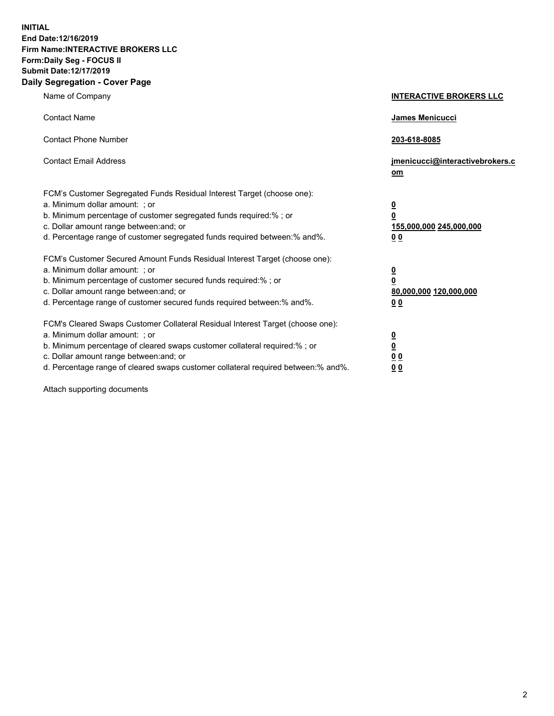**INITIAL End Date:12/16/2019 Firm Name:INTERACTIVE BROKERS LLC Form:Daily Seg - FOCUS II Submit Date:12/17/2019 Daily Segregation - Cover Page**

| Name of Company                                                                                                                                                                                                                                                                                                                | <b>INTERACTIVE BROKERS LLC</b>                                                                  |
|--------------------------------------------------------------------------------------------------------------------------------------------------------------------------------------------------------------------------------------------------------------------------------------------------------------------------------|-------------------------------------------------------------------------------------------------|
| <b>Contact Name</b>                                                                                                                                                                                                                                                                                                            | James Menicucci                                                                                 |
| <b>Contact Phone Number</b>                                                                                                                                                                                                                                                                                                    | 203-618-8085                                                                                    |
| <b>Contact Email Address</b>                                                                                                                                                                                                                                                                                                   | jmenicucci@interactivebrokers.c<br>om                                                           |
| FCM's Customer Segregated Funds Residual Interest Target (choose one):<br>a. Minimum dollar amount: ; or<br>b. Minimum percentage of customer segregated funds required:%; or<br>c. Dollar amount range between: and; or<br>d. Percentage range of customer segregated funds required between:% and%.                          | $\overline{\mathbf{0}}$<br>$\overline{\mathbf{0}}$<br>155,000,000 245,000,000<br>0 <sub>0</sub> |
| FCM's Customer Secured Amount Funds Residual Interest Target (choose one):<br>a. Minimum dollar amount: ; or<br>b. Minimum percentage of customer secured funds required:% ; or<br>c. Dollar amount range between: and; or<br>d. Percentage range of customer secured funds required between:% and%.                           | $\overline{\mathbf{0}}$<br>$\overline{\mathbf{0}}$<br>80,000,000 120,000,000<br>0 <sub>0</sub>  |
| FCM's Cleared Swaps Customer Collateral Residual Interest Target (choose one):<br>a. Minimum dollar amount: ; or<br>b. Minimum percentage of cleared swaps customer collateral required:% ; or<br>c. Dollar amount range between: and; or<br>d. Percentage range of cleared swaps customer collateral required between:% and%. | $\overline{\mathbf{0}}$<br>$\underline{\mathbf{0}}$<br>0 <sub>0</sub><br>0 <sub>0</sub>         |

Attach supporting documents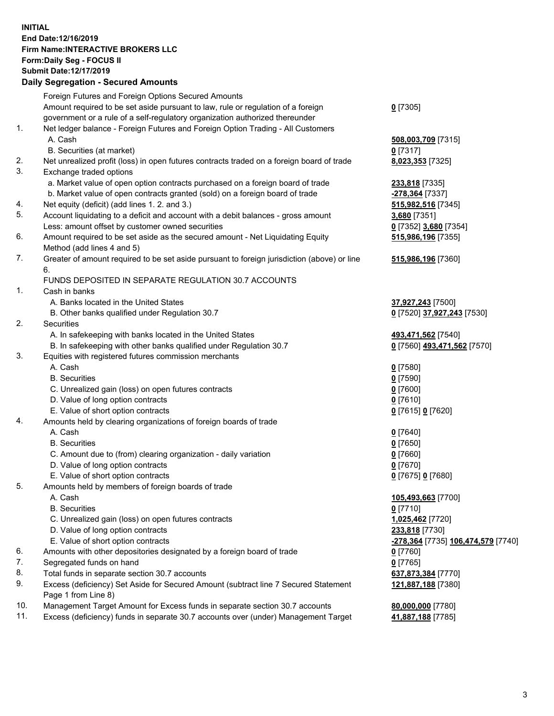## **INITIAL End Date:12/16/2019 Firm Name:INTERACTIVE BROKERS LLC Form:Daily Seg - FOCUS II Submit Date:12/17/2019 Daily Segregation - Secured Amounts**

|          | Daily Segregation - Secured Alliounts                                                                                                |                                                          |
|----------|--------------------------------------------------------------------------------------------------------------------------------------|----------------------------------------------------------|
|          | Foreign Futures and Foreign Options Secured Amounts                                                                                  |                                                          |
|          | Amount required to be set aside pursuant to law, rule or regulation of a foreign                                                     | $0$ [7305]                                               |
|          | government or a rule of a self-regulatory organization authorized thereunder                                                         |                                                          |
| 1.       | Net ledger balance - Foreign Futures and Foreign Option Trading - All Customers                                                      |                                                          |
|          | A. Cash                                                                                                                              | 508,003,709 [7315]                                       |
|          | B. Securities (at market)                                                                                                            | $0$ [7317]                                               |
| 2.       | Net unrealized profit (loss) in open futures contracts traded on a foreign board of trade                                            | 8,023,353 [7325]                                         |
| 3.       | Exchange traded options                                                                                                              |                                                          |
|          | a. Market value of open option contracts purchased on a foreign board of trade                                                       | <b>233,818</b> [7335]                                    |
|          | b. Market value of open contracts granted (sold) on a foreign board of trade                                                         | -278,364 [7337]                                          |
| 4.       | Net equity (deficit) (add lines 1.2. and 3.)                                                                                         | 515,982,516 [7345]                                       |
| 5.       | Account liquidating to a deficit and account with a debit balances - gross amount                                                    | 3,680 [7351]                                             |
|          | Less: amount offset by customer owned securities                                                                                     | 0 [7352] 3,680 [7354]                                    |
| 6.       | Amount required to be set aside as the secured amount - Net Liquidating Equity                                                       | 515,986,196 [7355]                                       |
|          | Method (add lines 4 and 5)                                                                                                           |                                                          |
| 7.       | Greater of amount required to be set aside pursuant to foreign jurisdiction (above) or line                                          | 515,986,196 [7360]                                       |
|          | 6.                                                                                                                                   |                                                          |
|          | FUNDS DEPOSITED IN SEPARATE REGULATION 30.7 ACCOUNTS                                                                                 |                                                          |
| 1.       | Cash in banks                                                                                                                        |                                                          |
|          | A. Banks located in the United States                                                                                                | 37,927,243 [7500]                                        |
|          | B. Other banks qualified under Regulation 30.7                                                                                       | 0 [7520] 37,927,243 [7530]                               |
| 2.       | Securities                                                                                                                           |                                                          |
|          | A. In safekeeping with banks located in the United States                                                                            | 493,471,562 [7540]                                       |
|          | B. In safekeeping with other banks qualified under Regulation 30.7                                                                   | 0 [7560] 493,471,562 [7570]                              |
| 3.       | Equities with registered futures commission merchants                                                                                |                                                          |
|          | A. Cash                                                                                                                              | $0$ [7580]                                               |
|          | <b>B.</b> Securities                                                                                                                 | $0$ [7590]                                               |
|          | C. Unrealized gain (loss) on open futures contracts                                                                                  | $0$ [7600]                                               |
|          | D. Value of long option contracts                                                                                                    | $0$ [7610]                                               |
|          | E. Value of short option contracts                                                                                                   | 0 [7615] 0 [7620]                                        |
| 4.       | Amounts held by clearing organizations of foreign boards of trade                                                                    |                                                          |
|          | A. Cash                                                                                                                              | $0$ [7640]                                               |
|          | <b>B.</b> Securities                                                                                                                 | $0$ [7650]                                               |
|          | C. Amount due to (from) clearing organization - daily variation                                                                      | $0$ [7660]                                               |
|          | D. Value of long option contracts                                                                                                    | $0$ [7670]                                               |
|          | E. Value of short option contracts                                                                                                   | 0 [7675] 0 [7680]                                        |
| 5.       | Amounts held by members of foreign boards of trade                                                                                   |                                                          |
|          | A. Cash                                                                                                                              | 105,493,663 [7700]                                       |
|          | <b>B.</b> Securities                                                                                                                 | $0$ [7710]                                               |
|          | C. Unrealized gain (loss) on open futures contracts                                                                                  | 1,025,462 [7720]                                         |
|          | D. Value of long option contracts                                                                                                    | 233,818 [7730]                                           |
|          | E. Value of short option contracts                                                                                                   | <u>-<b>278,364</b> [</u> 7735] <u>106,474,579</u> [7740] |
| 6.       | Amounts with other depositories designated by a foreign board of trade                                                               | 0 [7760]                                                 |
| 7.<br>8. | Segregated funds on hand                                                                                                             | $0$ [7765]                                               |
| 9.       | Total funds in separate section 30.7 accounts<br>Excess (deficiency) Set Aside for Secured Amount (subtract line 7 Secured Statement | 637,873,384 [7770]                                       |
|          | Page 1 from Line 8)                                                                                                                  | 121,887,188 [7380]                                       |
| 10.      | Management Target Amount for Excess funds in separate section 30.7 accounts                                                          | 80,000,000 [7780]                                        |
| 11.      | Excess (deficiency) funds in separate 30.7 accounts over (under) Management Target                                                   | 41,887,188 [7785]                                        |
|          |                                                                                                                                      |                                                          |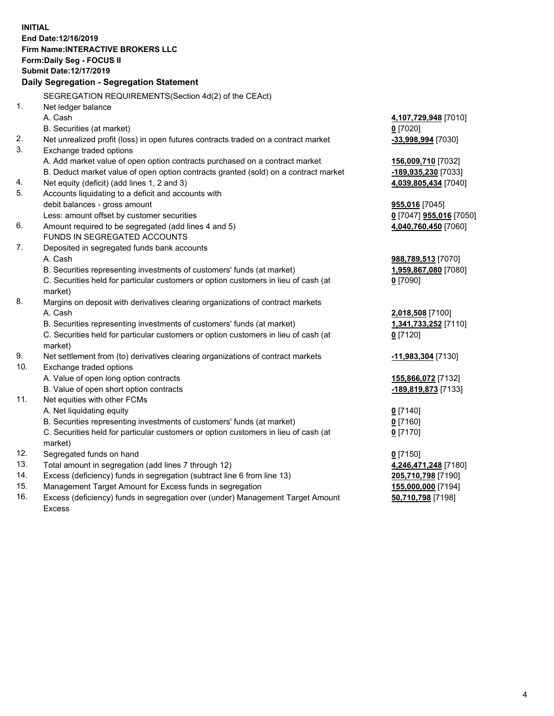**INITIAL End Date:12/16/2019 Firm Name:INTERACTIVE BROKERS LLC Form:Daily Seg - FOCUS II Submit Date:12/17/2019 Daily Segregation - Segregation Statement** SEGREGATION REQUIREMENTS(Section 4d(2) of the CEAct) 1. Net ledger balance A. Cash **4,107,729,948** [7010] B. Securities (at market) **0** [7020] 2. Net unrealized profit (loss) in open futures contracts traded on a contract market **-33,998,994** [7030] 3. Exchange traded options A. Add market value of open option contracts purchased on a contract market **156,009,710** [7032] B. Deduct market value of open option contracts granted (sold) on a contract market **-189,935,230** [7033] 4. Net equity (deficit) (add lines 1, 2 and 3) **4,039,805,434** [7040] 5. Accounts liquidating to a deficit and accounts with debit balances - gross amount **955,016** [7045] Less: amount offset by customer securities **0** [7047] **955,016** [7050] 6. Amount required to be segregated (add lines 4 and 5) **4,040,760,450** [7060] FUNDS IN SEGREGATED ACCOUNTS 7. Deposited in segregated funds bank accounts A. Cash **988,789,513** [7070] B. Securities representing investments of customers' funds (at market) **1,959,867,080** [7080] C. Securities held for particular customers or option customers in lieu of cash (at market) **0** [7090] 8. Margins on deposit with derivatives clearing organizations of contract markets A. Cash **2,018,508** [7100] B. Securities representing investments of customers' funds (at market) **1,341,733,252** [7110] C. Securities held for particular customers or option customers in lieu of cash (at market) **0** [7120] 9. Net settlement from (to) derivatives clearing organizations of contract markets **-11,983,304** [7130] 10. Exchange traded options A. Value of open long option contracts **155,866,072** [7132] B. Value of open short option contracts **-189,819,873** [7133] 11. Net equities with other FCMs A. Net liquidating equity **0** [7140] B. Securities representing investments of customers' funds (at market) **0** [7160] C. Securities held for particular customers or option customers in lieu of cash (at market) **0** [7170] 12. Segregated funds on hand **0** [7150] 13. Total amount in segregation (add lines 7 through 12) **4,246,471,248** [7180] 14. Excess (deficiency) funds in segregation (subtract line 6 from line 13) **205,710,798** [7190] 15. Management Target Amount for Excess funds in segregation **155,000,000** [7194]

16. Excess (deficiency) funds in segregation over (under) Management Target Amount Excess

**50,710,798** [7198]